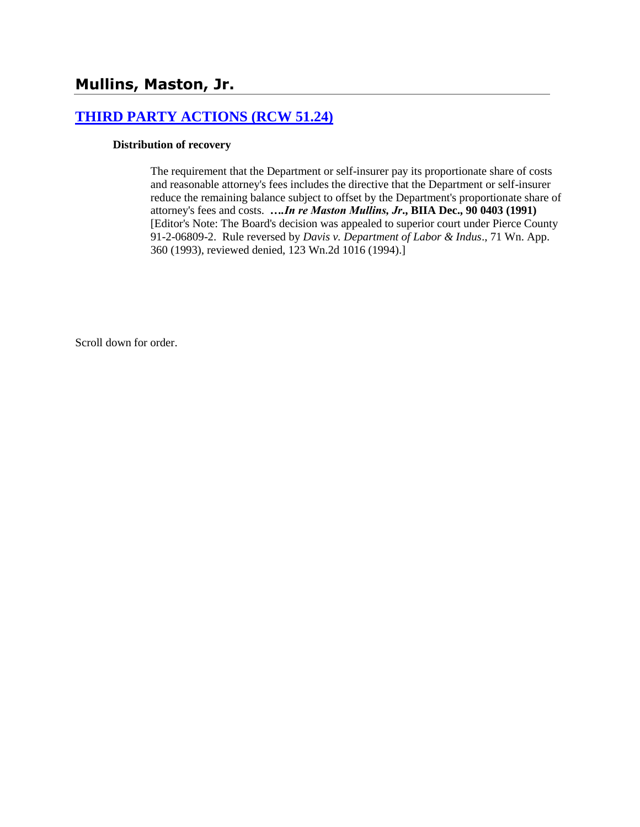# **[THIRD PARTY ACTIONS \(RCW 51.24\)](http://www.biia.wa.gov/SDSubjectIndex.html#THIRD_PARTY_ACTIONS)**

#### **Distribution of recovery**

The requirement that the Department or self-insurer pay its proportionate share of costs and reasonable attorney's fees includes the directive that the Department or self-insurer reduce the remaining balance subject to offset by the Department's proportionate share of attorney's fees and costs. *….In re Maston Mullins, Jr***., BIIA Dec., 90 0403 (1991)** [Editor's Note: The Board's decision was appealed to superior court under Pierce County 91-2-06809-2. Rule reversed by *Davis v. Department of Labor & Indus*., 71 Wn. App. 360 (1993), reviewed denied, 123 Wn.2d 1016 (1994).]

Scroll down for order.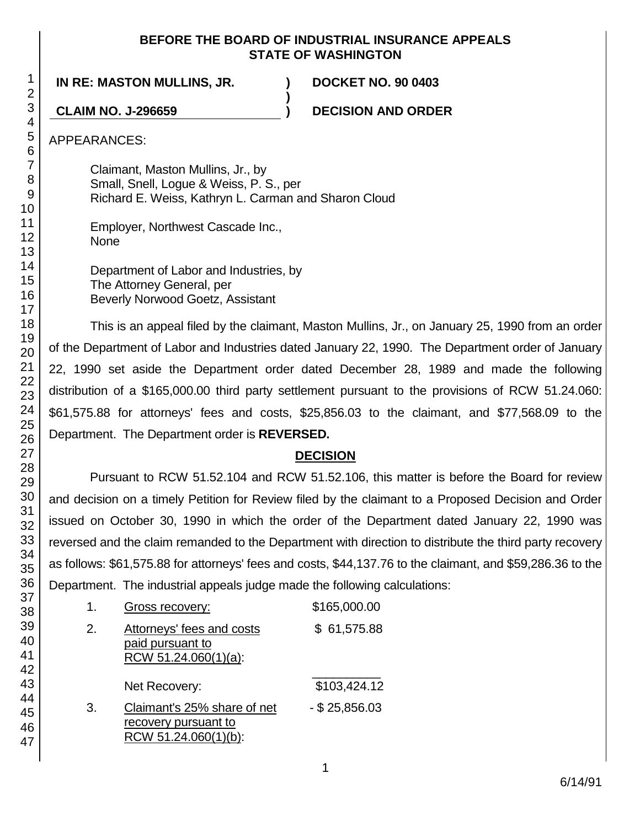#### **BEFORE THE BOARD OF INDUSTRIAL INSURANCE APPEALS STATE OF WASHINGTON**

**)**

**IN RE: MASTON MULLINS, JR. ) DOCKET NO. 90 0403**

**CLAIM NO. J-296659 ) DECISION AND ORDER**

APPEARANCES:

Claimant, Maston Mullins, Jr., by Small, Snell, Logue & Weiss, P. S., per Richard E. Weiss, Kathryn L. Carman and Sharon Cloud

Employer, Northwest Cascade Inc., None

Department of Labor and Industries, by The Attorney General, per Beverly Norwood Goetz, Assistant

This is an appeal filed by the claimant, Maston Mullins, Jr., on January 25, 1990 from an order of the Department of Labor and Industries dated January 22, 1990. The Department order of January 22, 1990 set aside the Department order dated December 28, 1989 and made the following distribution of a \$165,000.00 third party settlement pursuant to the provisions of RCW 51.24.060: \$61,575.88 for attorneys' fees and costs, \$25,856.03 to the claimant, and \$77,568.09 to the Department. The Department order is **REVERSED.**

# **DECISION**

Pursuant to RCW 51.52.104 and RCW 51.52.106, this matter is before the Board for review and decision on a timely Petition for Review filed by the claimant to a Proposed Decision and Order issued on October 30, 1990 in which the order of the Department dated January 22, 1990 was reversed and the claim remanded to the Department with direction to distribute the third party recovery as follows: \$61,575.88 for attorneys' fees and costs, \$44,137.76 to the claimant, and \$59,286.36 to the Department. The industrial appeals judge made the following calculations:

|    | Gross recovery:                                                              | \$165,000.00     |
|----|------------------------------------------------------------------------------|------------------|
| 2. | <b>Attorneys' fees and costs</b><br>paid pursuant to<br>RCW 51.24.060(1)(a): | \$61,575.88      |
|    | Net Recovery:                                                                | \$103,424.12     |
| 3. | Claimant's 25% share of net<br>recovery pursuant to<br>RCW 51.24.060(1)(b):  | $-$ \$ 25,856.03 |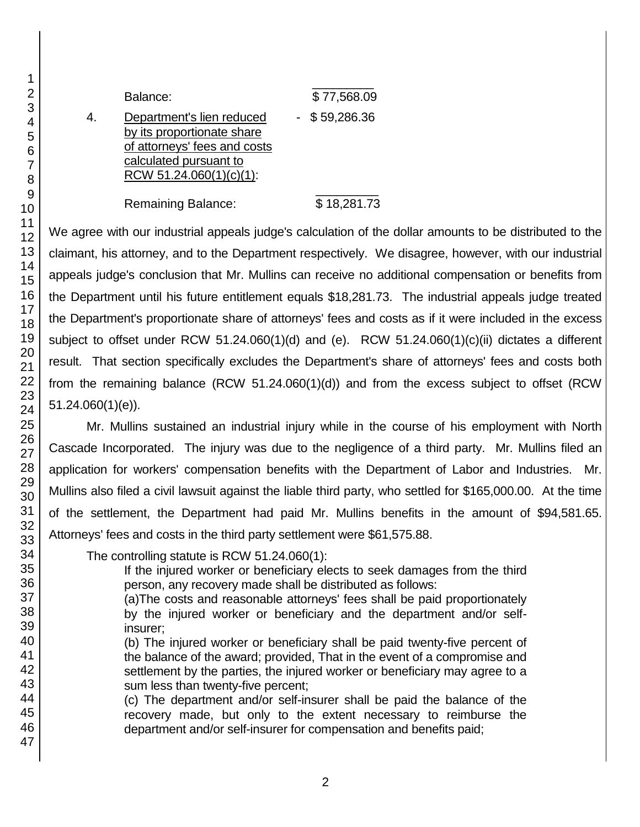\_\_\_\_\_\_\_\_\_ Balance: \$ 77,568.09 4. Department's lien reduced - \$59,286.36 by its proportionate share of attorneys' fees and costs calculated pursuant to RCW 51.24.060(1)(c)(1): \_\_\_\_\_\_\_\_\_

Remaining Balance: \$18,281.73

We agree with our industrial appeals judge's calculation of the dollar amounts to be distributed to the claimant, his attorney, and to the Department respectively. We disagree, however, with our industrial appeals judge's conclusion that Mr. Mullins can receive no additional compensation or benefits from the Department until his future entitlement equals \$18,281.73. The industrial appeals judge treated the Department's proportionate share of attorneys' fees and costs as if it were included in the excess subject to offset under RCW 51.24.060(1)(d) and (e). RCW 51.24.060(1)(c)(ii) dictates a different result. That section specifically excludes the Department's share of attorneys' fees and costs both from the remaining balance (RCW 51.24.060(1)(d)) and from the excess subject to offset (RCW 51.24.060(1)(e)).

Mr. Mullins sustained an industrial injury while in the course of his employment with North Cascade Incorporated. The injury was due to the negligence of a third party. Mr. Mullins filed an application for workers' compensation benefits with the Department of Labor and Industries. Mr. Mullins also filed a civil lawsuit against the liable third party, who settled for \$165,000.00. At the time of the settlement, the Department had paid Mr. Mullins benefits in the amount of \$94,581.65. Attorneys' fees and costs in the third party settlement were \$61,575.88.

The controlling statute is RCW 51.24.060(1):

If the injured worker or beneficiary elects to seek damages from the third person, any recovery made shall be distributed as follows:

(a)The costs and reasonable attorneys' fees shall be paid proportionately by the injured worker or beneficiary and the department and/or selfinsurer;

(b) The injured worker or beneficiary shall be paid twenty-five percent of the balance of the award; provided, That in the event of a compromise and settlement by the parties, the injured worker or beneficiary may agree to a sum less than twenty-five percent;

(c) The department and/or self-insurer shall be paid the balance of the recovery made, but only to the extent necessary to reimburse the department and/or self-insurer for compensation and benefits paid;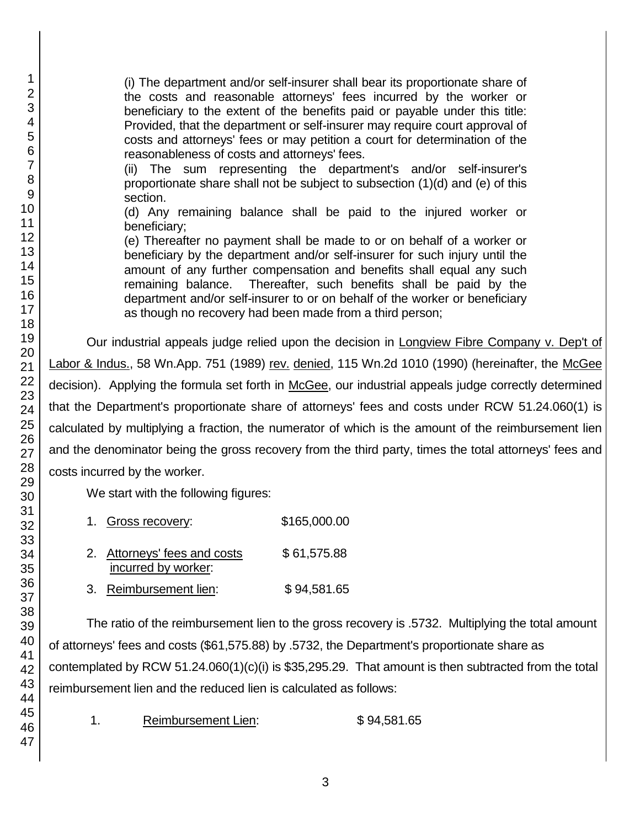(i) The department and/or self-insurer shall bear its proportionate share of the costs and reasonable attorneys' fees incurred by the worker or beneficiary to the extent of the benefits paid or payable under this title: Provided, that the department or self-insurer may require court approval of costs and attorneys' fees or may petition a court for determination of the reasonableness of costs and attorneys' fees.

(ii) The sum representing the department's and/or self-insurer's proportionate share shall not be subject to subsection (1)(d) and (e) of this section.

(d) Any remaining balance shall be paid to the injured worker or beneficiary;

(e) Thereafter no payment shall be made to or on behalf of a worker or beneficiary by the department and/or self-insurer for such injury until the amount of any further compensation and benefits shall equal any such remaining balance. Thereafter, such benefits shall be paid by the department and/or self-insurer to or on behalf of the worker or beneficiary as though no recovery had been made from a third person;

Our industrial appeals judge relied upon the decision in Longview Fibre Company v. Dep't of Labor & Indus., 58 Wn.App. 751 (1989) rev. denied, 115 Wn.2d 1010 (1990) (hereinafter, the McGee decision). Applying the formula set forth in McGee, our industrial appeals judge correctly determined that the Department's proportionate share of attorneys' fees and costs under RCW 51.24.060(1) is calculated by multiplying a fraction, the numerator of which is the amount of the reimbursement lien and the denominator being the gross recovery from the third party, times the total attorneys' fees and costs incurred by the worker.

We start with the following figures:

| 1. Gross recovery:                                  | \$165,000.00 |
|-----------------------------------------------------|--------------|
| 2. Attorneys' fees and costs<br>incurred by worker: | \$61,575.88  |
| 3. Reimbursement lien:                              | \$94,581.65  |

The ratio of the reimbursement lien to the gross recovery is .5732. Multiplying the total amount of attorneys' fees and costs (\$61,575.88) by .5732, the Department's proportionate share as contemplated by RCW 51.24.060(1)(c)(i) is \$35,295.29. That amount is then subtracted from the total reimbursement lien and the reduced lien is calculated as follows:

1. Reimbursement Lien: \$94,581.65

1 2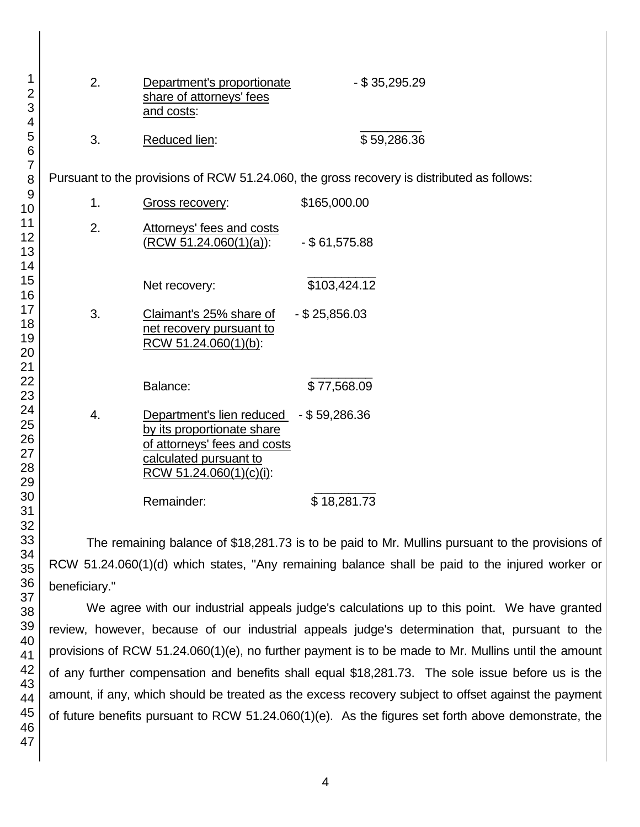| 2. | Department's proportionate<br>share of attorneys' fees<br>and costs:                                                                                       | $-$ \$ 35,295.29                                                                                |
|----|------------------------------------------------------------------------------------------------------------------------------------------------------------|-------------------------------------------------------------------------------------------------|
| 3. | Reduced lien:                                                                                                                                              | \$59,286.36                                                                                     |
|    |                                                                                                                                                            | Pursuant to the provisions of RCW 51.24.060, the gross recovery is distributed as follows:      |
| 1. | Gross recovery:                                                                                                                                            | \$165,000.00                                                                                    |
| 2. | Attorneys' fees and costs<br>(RCW 51.24.060(1)(a)):                                                                                                        | $-$ \$61,575.88                                                                                 |
|    | Net recovery:                                                                                                                                              | \$103,424.12                                                                                    |
| 3. | Claimant's 25% share of<br>net recovery pursuant to<br>RCW 51.24.060(1)(b):                                                                                | $-$ \$ 25,856.03                                                                                |
|    | Balance:                                                                                                                                                   | \$77,568.09                                                                                     |
| 4. | Department's lien reduced - \$59,286.36<br>by its proportionate share<br>of attorneys' fees and costs<br>calculated pursuant to<br>RCW 51.24.060(1)(c)(i): |                                                                                                 |
|    | Remainder:                                                                                                                                                 | \$18,281.73                                                                                     |
|    |                                                                                                                                                            | The remaining balance of \$18,281.73 is to be paid to Mr. Mullins pursuant to the provisions of |
|    |                                                                                                                                                            | RCW 51.24.060(1)(d) which states. "Any remaining balance shall be paid to the injured worker or |

31 32 33 34 35 36 37 38 beneficiary." We agree with our industrial appeals judge's calculations up to this point. We have granted

review, however, because of our industrial appeals judge's determination that, pursuant to the provisions of RCW 51.24.060(1)(e), no further payment is to be made to Mr. Mullins until the amount of any further compensation and benefits shall equal \$18,281.73. The sole issue before us is the amount, if any, which should be treated as the excess recovery subject to offset against the payment of future benefits pursuant to RCW 51.24.060(1)(e). As the figures set forth above demonstrate, the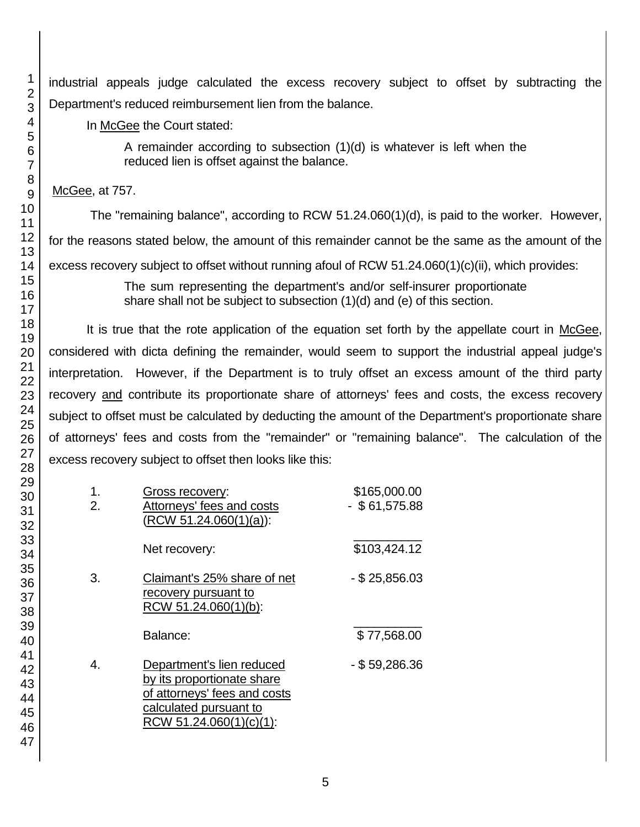industrial appeals judge calculated the excess recovery subject to offset by subtracting the Department's reduced reimbursement lien from the balance.

In McGee the Court stated:

A remainder according to subsection (1)(d) is whatever is left when the reduced lien is offset against the balance.

McGee, at 757.

The "remaining balance", according to RCW 51.24.060(1)(d), is paid to the worker. However, for the reasons stated below, the amount of this remainder cannot be the same as the amount of the excess recovery subject to offset without running afoul of RCW 51.24.060(1)(c)(ii), which provides:

> The sum representing the department's and/or self-insurer proportionate share shall not be subject to subsection (1)(d) and (e) of this section.

It is true that the rote application of the equation set forth by the appellate court in McGee, considered with dicta defining the remainder, would seem to support the industrial appeal judge's interpretation. However, if the Department is to truly offset an excess amount of the third party recovery and contribute its proportionate share of attorneys' fees and costs, the excess recovery subject to offset must be calculated by deducting the amount of the Department's proportionate share of attorneys' fees and costs from the "remainder" or "remaining balance". The calculation of the excess recovery subject to offset then looks like this:

| 1.<br>2. | <b>Gross recovery:</b><br>Attorneys' fees and costs<br>$(RCW 51.24.060(1)(a))$ :                                                             | \$165,000.00<br>$-$ \$61,575.88 |
|----------|----------------------------------------------------------------------------------------------------------------------------------------------|---------------------------------|
|          | Net recovery:                                                                                                                                | \$103,424.12                    |
| 3.       | Claimant's 25% share of net<br>recovery pursuant to<br>RCW 51.24.060(1)(b):                                                                  | $-$ \$ 25,856.03                |
|          | Balance:                                                                                                                                     | \$77,568.00                     |
| 4.       | Department's lien reduced<br>by its proportionate share<br>of attorneys' fees and costs<br>calculated pursuant to<br>RCW 51.24.060(1)(c)(1): | $-$ \$ 59,286.36                |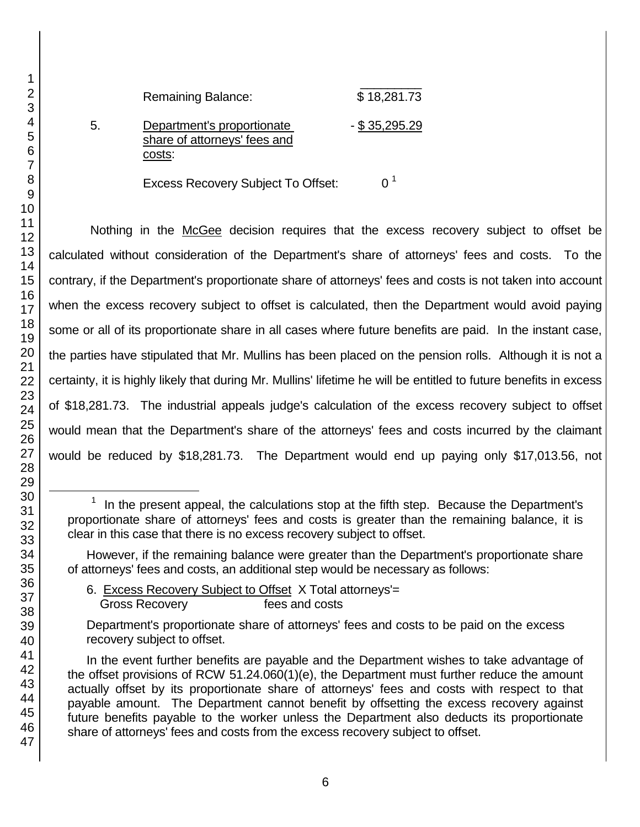$\overline{\phantom{a}}$  , where  $\overline{\phantom{a}}$ Remaining Balance: \$18,281.73 5. Department's proportionate - \$ 35,295.29 share of attorneys' fees and costs:

Excess Recovery Subject To Offset: 0<sup>1</sup>

Nothing in the McGee decision requires that the excess recovery subject to offset be calculated without consideration of the Department's share of attorneys' fees and costs. To the contrary, if the Department's proportionate share of attorneys' fees and costs is not taken into account when the excess recovery subject to offset is calculated, then the Department would avoid paying some or all of its proportionate share in all cases where future benefits are paid. In the instant case, the parties have stipulated that Mr. Mullins has been placed on the pension rolls. Although it is not a certainty, it is highly likely that during Mr. Mullins' lifetime he will be entitled to future benefits in excess of \$18,281.73. The industrial appeals judge's calculation of the excess recovery subject to offset would mean that the Department's share of the attorneys' fees and costs incurred by the claimant would be reduced by \$18,281.73. The Department would end up paying only \$17,013.56, not

However, if the remaining balance were greater than the Department's proportionate share of attorneys' fees and costs, an additional step would be necessary as follows:

6. Excess Recovery Subject to Offset X Total attorneys'= Gross Recovery fees and costs

Department's proportionate share of attorneys' fees and costs to be paid on the excess recovery subject to offset.

In the event further benefits are payable and the Department wishes to take advantage of the offset provisions of RCW 51.24.060(1)(e), the Department must further reduce the amount actually offset by its proportionate share of attorneys' fees and costs with respect to that payable amount. The Department cannot benefit by offsetting the excess recovery against future benefits payable to the worker unless the Department also deducts its proportionate share of attorneys' fees and costs from the excess recovery subject to offset.

l

 In the present appeal, the calculations stop at the fifth step. Because the Department's proportionate share of attorneys' fees and costs is greater than the remaining balance, it is clear in this case that there is no excess recovery subject to offset.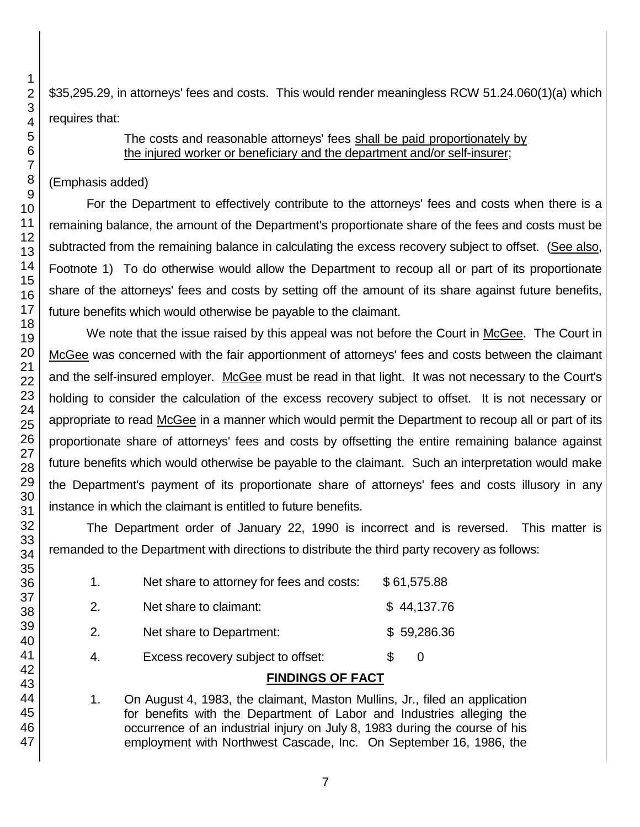\$35,295.29, in attorneys' fees and costs. This would render meaningless RCW 51.24.060(1)(a) which requires that:

#### The costs and reasonable attorneys' fees shall be paid proportionately by the injured worker or beneficiary and the department and/or self-insurer;

## (Emphasis added)

For the Department to effectively contribute to the attorneys' fees and costs when there is a remaining balance, the amount of the Department's proportionate share of the fees and costs must be subtracted from the remaining balance in calculating the excess recovery subject to offset. (See also, Footnote 1) To do otherwise would allow the Department to recoup all or part of its proportionate share of the attorneys' fees and costs by setting off the amount of its share against future benefits, future benefits which would otherwise be payable to the claimant.

We note that the issue raised by this appeal was not before the Court in McGee. The Court in McGee was concerned with the fair apportionment of attorneys' fees and costs between the claimant and the self-insured employer. McGee must be read in that light. It was not necessary to the Court's holding to consider the calculation of the excess recovery subject to offset. It is not necessary or appropriate to read McGee in a manner which would permit the Department to recoup all or part of its proportionate share of attorneys' fees and costs by offsetting the entire remaining balance against future benefits which would otherwise be payable to the claimant. Such an interpretation would make the Department's payment of its proportionate share of attorneys' fees and costs illusory in any instance in which the claimant is entitled to future benefits.

The Department order of January 22, 1990 is incorrect and is reversed. This matter is remanded to the Department with directions to distribute the third party recovery as follows:

|    | <b>FINDINGS OF FACT</b>                   |   |             |  |
|----|-------------------------------------------|---|-------------|--|
|    | Excess recovery subject to offset:        | S | O           |  |
| 2. | Net share to Department:                  |   | \$59,286.36 |  |
| 2. | Net share to claimant:                    |   | \$44,137.76 |  |
| 1. | Net share to attorney for fees and costs: |   | \$61,575.88 |  |

1. On August 4, 1983, the claimant, Maston Mullins, Jr., filed an application for benefits with the Department of Labor and Industries alleging the occurrence of an industrial injury on July 8, 1983 during the course of his employment with Northwest Cascade, Inc. On September 16, 1986, the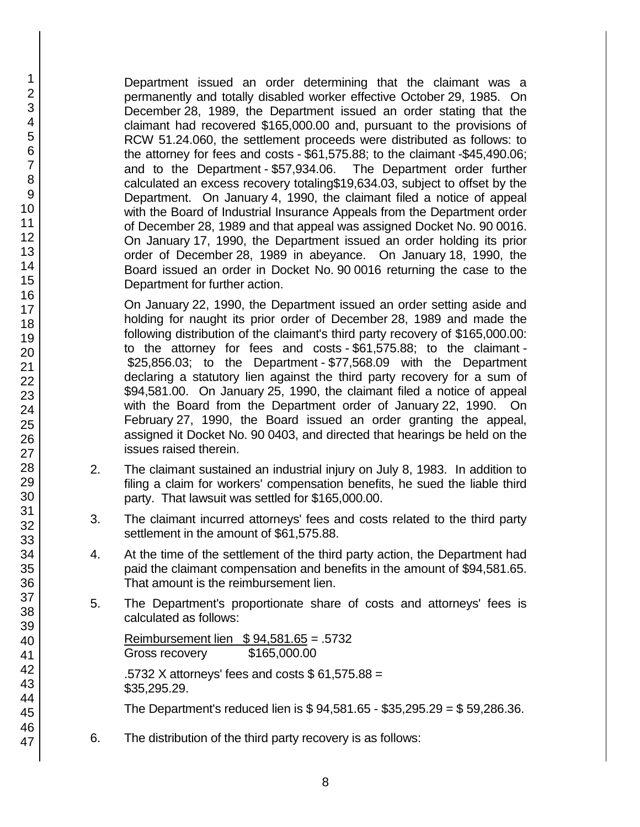Department issued an order determining that the claimant was a permanently and totally disabled worker effective October 29, 1985. On December 28, 1989, the Department issued an order stating that the claimant had recovered \$165,000.00 and, pursuant to the provisions of RCW 51.24.060, the settlement proceeds were distributed as follows: to the attorney for fees and costs - \$61,575.88; to the claimant -\$45,490.06; and to the Department - \$57,934.06. The Department order further calculated an excess recovery totaling\$19,634.03, subject to offset by the Department. On January 4, 1990, the claimant filed a notice of appeal with the Board of Industrial Insurance Appeals from the Department order of December 28, 1989 and that appeal was assigned Docket No. 90 0016. On January 17, 1990, the Department issued an order holding its prior order of December 28, 1989 in abeyance. On January 18, 1990, the Board issued an order in Docket No. 90 0016 returning the case to the Department for further action.

On January 22, 1990, the Department issued an order setting aside and holding for naught its prior order of December 28, 1989 and made the following distribution of the claimant's third party recovery of \$165,000.00: to the attorney for fees and costs - \$61,575.88; to the claimant - \$25,856.03; to the Department - \$77,568.09 with the Department declaring a statutory lien against the third party recovery for a sum of \$94,581.00. On January 25, 1990, the claimant filed a notice of appeal with the Board from the Department order of January 22, 1990. On February 27, 1990, the Board issued an order granting the appeal, assigned it Docket No. 90 0403, and directed that hearings be held on the issues raised therein.

- 2. The claimant sustained an industrial injury on July 8, 1983. In addition to filing a claim for workers' compensation benefits, he sued the liable third party. That lawsuit was settled for \$165,000.00.
- 3. The claimant incurred attorneys' fees and costs related to the third party settlement in the amount of \$61,575.88.
- 4. At the time of the settlement of the third party action, the Department had paid the claimant compensation and benefits in the amount of \$94,581.65. That amount is the reimbursement lien.
- 5. The Department's proportionate share of costs and attorneys' fees is calculated as follows:

Reimbursement lien \$ 94,581.65 = .5732 Gross recovery \$165,000.00 .5732 X attorneys' fees and costs \$ 61,575.88 = \$35,295.29.

The Department's reduced lien is \$ 94,581.65 - \$35,295.29 = \$ 59,286.36.

6. The distribution of the third party recovery is as follows: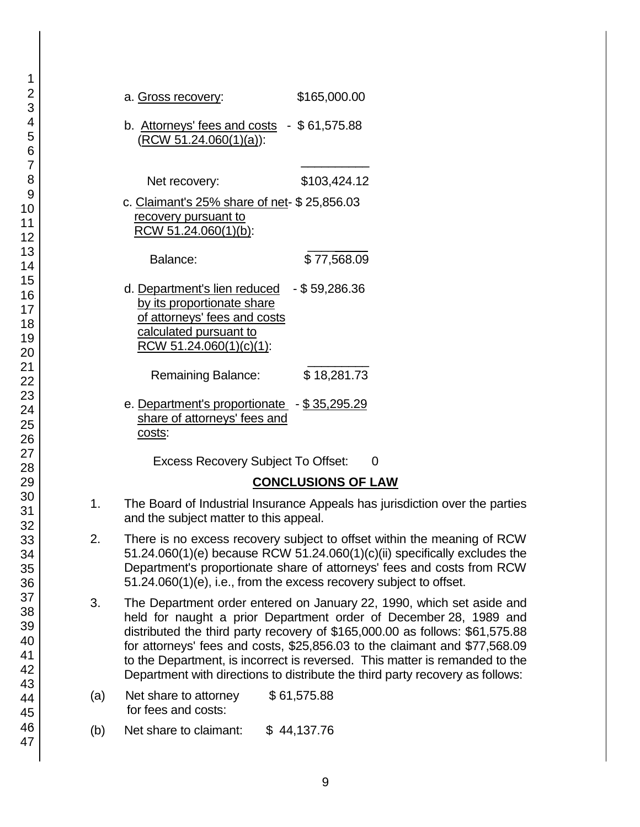|                | \$165,000.00<br>a. Gross recovery:                                                                                                                                                                                                                                                                                                                                                                                                                                             |
|----------------|--------------------------------------------------------------------------------------------------------------------------------------------------------------------------------------------------------------------------------------------------------------------------------------------------------------------------------------------------------------------------------------------------------------------------------------------------------------------------------|
| วิ<br>วั       | b. Attorneys' fees and costs $-$ \$61,575.88<br><u>(RCW 51.24.060(1)(a)):</u>                                                                                                                                                                                                                                                                                                                                                                                                  |
|                | \$103,424.12<br>Net recovery:                                                                                                                                                                                                                                                                                                                                                                                                                                                  |
|                | c. Claimant's 25% share of net- \$25,856.03<br>recovery pursuant to<br>RCW 51.24.060(1)(b):                                                                                                                                                                                                                                                                                                                                                                                    |
| 2<br>3         | \$77,568.09<br>Balance:                                                                                                                                                                                                                                                                                                                                                                                                                                                        |
| วิ<br>วั       | d. Department's lien reduced $-$ \$59,286.36<br>by its proportionate share<br>of attorneys' fees and costs<br>calculated pursuant to<br>RCW 51.24.060(1)(c)(1):                                                                                                                                                                                                                                                                                                                |
| 2<br>3         | \$18,281.73<br>Remaining Balance:                                                                                                                                                                                                                                                                                                                                                                                                                                              |
| $\bar{5}$<br>ć | e. Department's proportionate - \$35,295.29<br>share of attorneys' fees and<br>costs:                                                                                                                                                                                                                                                                                                                                                                                          |
|                | <b>Excess Recovery Subject To Offset:</b><br>0                                                                                                                                                                                                                                                                                                                                                                                                                                 |
|                | <b>CONCLUSIONS OF LAW</b>                                                                                                                                                                                                                                                                                                                                                                                                                                                      |
|                | 1.<br>The Board of Industrial Insurance Appeals has jurisdiction over the parties<br>and the subject matter to this appeal.                                                                                                                                                                                                                                                                                                                                                    |
| 5              | 2.<br>There is no excess recovery subject to offset within the meaning of RCW<br>51.24.060(1)(e) because RCW 51.24.060(1)(c)(ii) specifically excludes the<br>Department's proportionate share of attorneys' fees and costs from RCW<br>51.24.060(1)(e), i.e., from the excess recovery subject to offset.                                                                                                                                                                     |
|                | 3.<br>The Department order entered on January 22, 1990, which set aside and<br>held for naught a prior Department order of December 28, 1989 and<br>distributed the third party recovery of \$165,000.00 as follows: \$61,575.88<br>for attorneys' fees and costs, \$25,856.03 to the claimant and \$77,568.09<br>to the Department, is incorrect is reversed. This matter is remanded to the<br>Department with directions to distribute the third party recovery as follows: |
| 5              | \$61,575.88<br>Net share to attorney<br>(a)<br>for fees and costs:                                                                                                                                                                                                                                                                                                                                                                                                             |
|                | Net share to claimant:<br>\$44,137.76<br>(b)                                                                                                                                                                                                                                                                                                                                                                                                                                   |